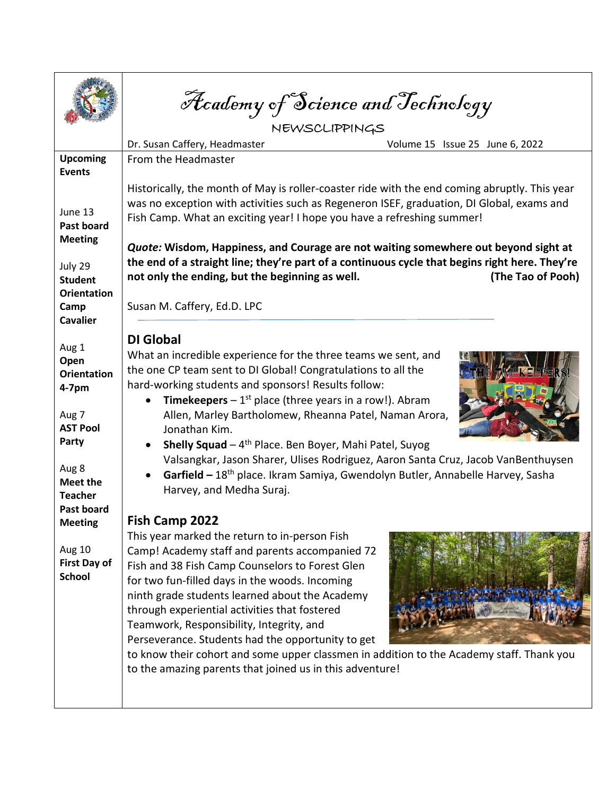Academy of Science and Technology

| Volume 15 Issue 25 June 6, 2022                                                                                                                                                                                                                                                                                                                                                                                                                                                                                                 |
|---------------------------------------------------------------------------------------------------------------------------------------------------------------------------------------------------------------------------------------------------------------------------------------------------------------------------------------------------------------------------------------------------------------------------------------------------------------------------------------------------------------------------------|
|                                                                                                                                                                                                                                                                                                                                                                                                                                                                                                                                 |
|                                                                                                                                                                                                                                                                                                                                                                                                                                                                                                                                 |
| Historically, the month of May is roller-coaster ride with the end coming abruptly. This year<br>was no exception with activities such as Regeneron ISEF, graduation, DI Global, exams and<br>Fish Camp. What an exciting year! I hope you have a refreshing summer!<br>Quote: Wisdom, Happiness, and Courage are not waiting somewhere out beyond sight at<br>the end of a straight line; they're part of a continuous cycle that begins right here. They're<br>(The Tao of Pooh)                                              |
| What an incredible experience for the three teams we sent, and<br>the one CP team sent to DI Global! Congratulations to all the<br><b>Timekeepers</b> $-1^{st}$ place (three years in a row!). Abram<br>Allen, Marley Bartholomew, Rheanna Patel, Naman Arora,<br><b>Shelly Squad</b> $-4$ <sup>th</sup> Place. Ben Boyer, Mahi Patel, Suyog<br>Valsangkar, Jason Sharer, Ulises Rodriguez, Aaron Santa Cruz, Jacob VanBenthuysen<br>Garfield - 18 <sup>th</sup> place. Ikram Samiya, Gwendolyn Butler, Annabelle Harvey, Sasha |
|                                                                                                                                                                                                                                                                                                                                                                                                                                                                                                                                 |
| to know their cohort and some upper classmen in addition to the Academy staff. Thank you<br>to the amazing parents that joined us in this adventure!                                                                                                                                                                                                                                                                                                                                                                            |
|                                                                                                                                                                                                                                                                                                                                                                                                                                                                                                                                 |